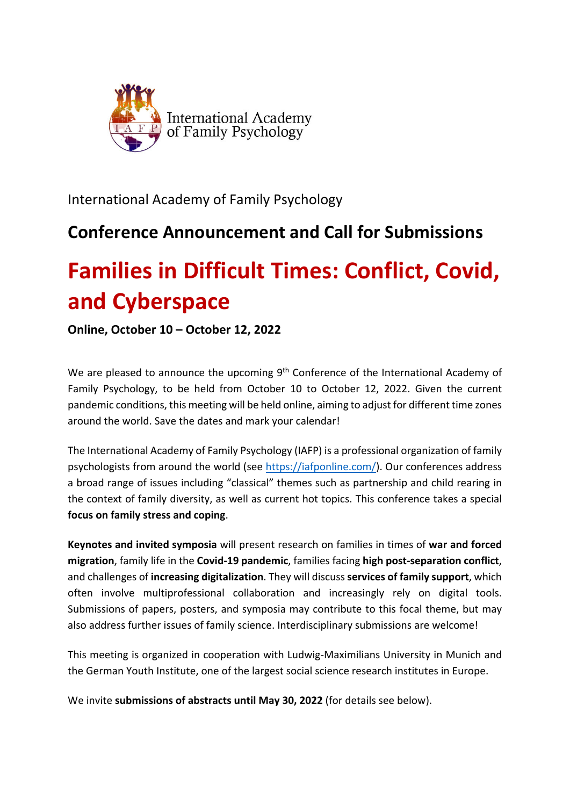

International Academy of Family Psychology

# **Conference Announcement and Call for Submissions**

# **Families in Difficult Times: Conflict, Covid, and Cyberspace**

**Online, October 10 – October 12, 2022**

We are pleased to announce the upcoming 9<sup>th</sup> Conference of the International Academy of Family Psychology, to be held from October 10 to October 12, 2022. Given the current pandemic conditions, this meeting will be held online, aiming to adjust for different time zones around the world. Save the dates and mark your calendar!

The International Academy of Family Psychology (IAFP) is a professional organization of family psychologists from around the world (see https://iafponline.com/). Our conferences address a broad range of issues including "classical" themes such as partnership and child rearing in the context of family diversity, as well as current hot topics. This conference takes a special **focus on family stress and coping**.

**Keynotes and invited symposia** will present research on families in times of **war and forced migration**, family life in the **Covid‐19 pandemic**, families facing **high post‐separation conflict**, and challenges of **increasing digitalization**. They will discuss **services of family support**, which often involve multiprofessional collaboration and increasingly rely on digital tools. Submissions of papers, posters, and symposia may contribute to this focal theme, but may also address further issues of family science. Interdisciplinary submissions are welcome!

This meeting is organized in cooperation with Ludwig‐Maximilians University in Munich and the German Youth Institute, one of the largest social science research institutes in Europe.

We invite **submissions of abstracts until May 30, 2022** (for details see below).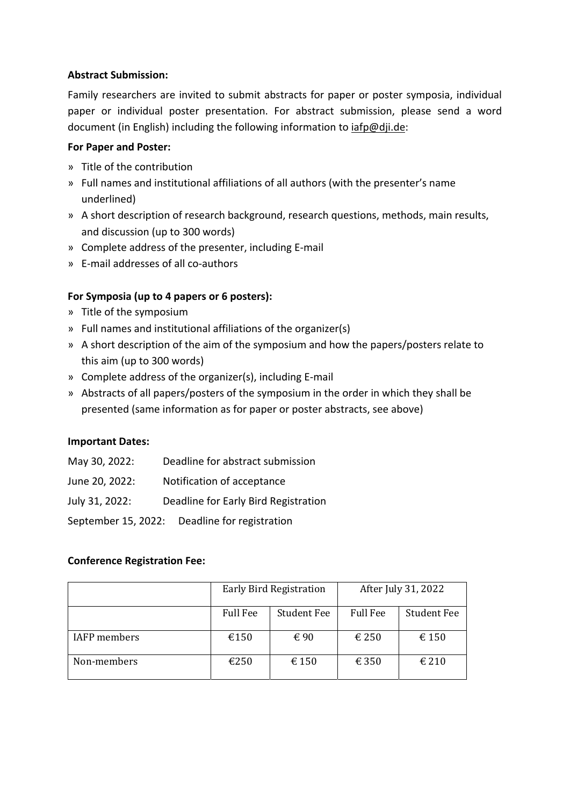## **Abstract Submission:**

Family researchers are invited to submit abstracts for paper or poster symposia, individual paper or individual poster presentation. For abstract submission, please send a word document (in English) including the following information to iafp@dji.de:

### **For Paper and Poster:**

- » Title of the contribution
- » Full names and institutional affiliations of all authors (with the presenter's name underlined)
- » A short description of research background, research questions, methods, main results, and discussion (up to 300 words)
- » Complete address of the presenter, including E‐mail
- » E‐mail addresses of all co‐authors

# **For Symposia (up to 4 papers or 6 posters):**

- » Title of the symposium
- » Full names and institutional affiliations of the organizer(s)
- » A short description of the aim of the symposium and how the papers/posters relate to this aim (up to 300 words)
- » Complete address of the organizer(s), including E‐mail
- » Abstracts of all papers/posters of the symposium in the order in which they shall be presented (same information as for paper or poster abstracts, see above)

# **Important Dates:**

- May 30, 2022: Deadline for abstract submission
- June 20, 2022: Notification of acceptance
- July 31, 2022: Deadline for Early Bird Registration

September 15, 2022: Deadline for registration

# **Conference Registration Fee:**

|                     | <b>Early Bird Registration</b> |                    | After July 31, 2022 |                    |
|---------------------|--------------------------------|--------------------|---------------------|--------------------|
|                     | <b>Full Fee</b>                | <b>Student Fee</b> | <b>Full Fee</b>     | <b>Student Fee</b> |
| <b>IAFP</b> members | €150                           | € 90               | € 250               | $\epsilon$ 150     |
| Non-members         | €250                           | € 150              | € 350               | $\epsilon$ 210     |